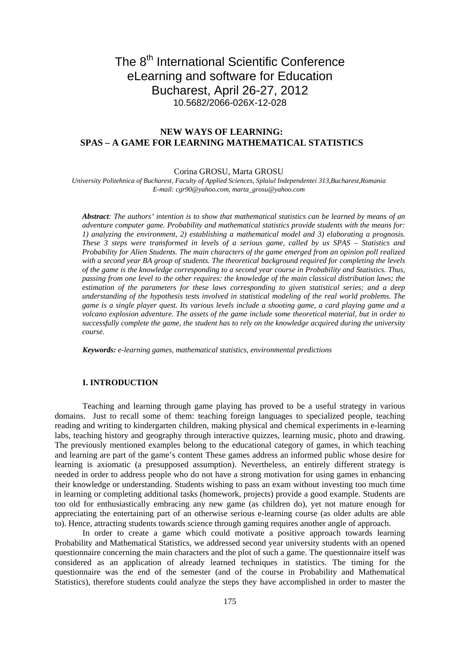# The 8<sup>th</sup> International Scientific Conference eLearning and software for Education Bucharest, April 26-27, 2012 10.5682/2066-026X-12-028

# **NEW WAYS OF LEARNING: SPAS – A GAME FOR LEARNING MATHEMATICAL STATISTICS**

#### Corina GROSU, Marta GROSU

*University Politehnica of Bucharest, Faculty of Applied Sciences, Splaiul Independentei 313,Bucharest,Romania E-mail: cgr90@yahoo.com, marta\_grosu@yahoo.com* 

*Abstract: The authors' intention is to show that mathematical statistics can be learned by means of an adventure computer game. Probability and mathematical statistics provide students with the means for: 1) analyzing the environment, 2) establishing a mathematical model and 3) elaborating a prognosis. These 3 steps were transformed in levels of a serious game, called by us SPAS – Statistics and Probability for Alien Students. The main characters of the game emerged from an opinion poll realized with a second year BA group of students. The theoretical background required for completing the levels of the game is the knowledge corresponding to a second year course in Probability and Statistics. Thus, passing from one level to the other requires: the knowledge of the main classical distribution laws; the estimation of the parameters for these laws corresponding to given statistical series; and a deep understanding of the hypothesis tests involved in statistical modeling of the real world problems. The game is a single player quest. Its various levels include a shooting game, a card playing game and a volcano explosion adventure. The assets of the game include some theoretical material, but in order to successfully complete the game, the student has to rely on the knowledge acquired during the university course.*

*Keywords: e-learning games, mathematical statistics, environmental predictions*

## **I..INTRODUCTION**

Teaching and learning through game playing has proved to be a useful strategy in various domains. Just to recall some of them: teaching foreign languages to specialized people, teaching reading and writing to kindergarten children, making physical and chemical experiments in e-learning labs, teaching history and geography through interactive quizzes, learning music, photo and drawing. The previously mentioned examples belong to the educational category of games, in which teaching and learning are part of the game's content These games address an informed public whose desire for learning is axiomatic (a presupposed assumption). Nevertheless, an entirely different strategy is needed in order to address people who do not have a strong motivation for using games in enhancing their knowledge or understanding. Students wishing to pass an exam without investing too much time in learning or completing additional tasks (homework, projects) provide a good example. Students are too old for enthusiastically embracing any new game (as children do), yet not mature enough for appreciating the entertaining part of an otherwise serious e-learning course (as older adults are able to). Hence, attracting students towards science through gaming requires another angle of approach.

In order to create a game which could motivate a positive approach towards learning Probability and Mathematical Statistics, we addressed second year university students with an opened questionnaire concerning the main characters and the plot of such a game. The questionnaire itself was considered as an application of already learned techniques in statistics. The timing for the questionnaire was the end of the semester (and of the course in Probability and Mathematical Statistics), therefore students could analyze the steps they have accomplished in order to master the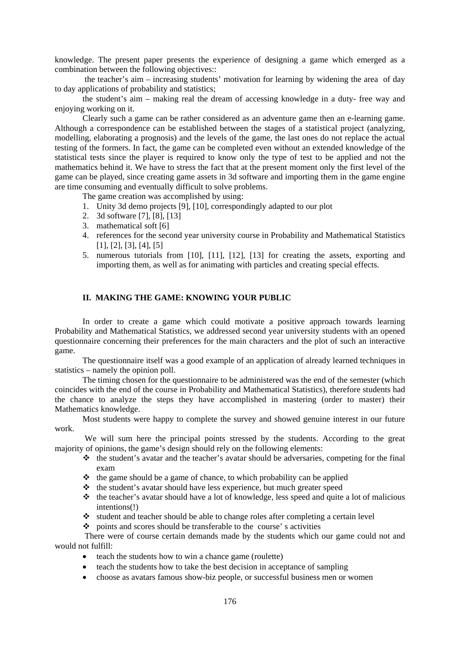knowledge. The present paper presents the experience of designing a game which emerged as a combination between the following objectives::

 the teacher's aim – increasing students' motivation for learning by widening the area of day to day applications of probability and statistics;

the student's aim – making real the dream of accessing knowledge in a duty- free way and enjoying working on it.

Clearly such a game can be rather considered as an adventure game then an e-learning game. Although a correspondence can be established between the stages of a statistical project (analyzing, modelling, elaborating a prognosis) and the levels of the game, the last ones do not replace the actual testing of the formers. In fact, the game can be completed even without an extended knowledge of the statistical tests since the player is required to know only the type of test to be applied and not the mathematics behind it. We have to stress the fact that at the present moment only the first level of the game can be played, since creating game assets in 3d software and importing them in the game engine are time consuming and eventually difficult to solve problems.

The game creation was accomplished by using:

- 1. Unity 3d demo projects [9], [10], correspondingly adapted to our plot
- 2. 3d software [7], [8], [13]
- 3. mathematical soft [6]
- 4. references for the second year university course in Probability and Mathematical Statistics [1], [2], [3], [4], [5]
- 5. numerous tutorials from [10], [11], [12], [13] for creating the assets, exporting and importing them, as well as for animating with particles and creating special effects.

# **II. MAKING THE GAME: KNOWING YOUR PUBLIC**

In order to create a game which could motivate a positive approach towards learning Probability and Mathematical Statistics, we addressed second year university students with an opened questionnaire concerning their preferences for the main characters and the plot of such an interactive game.

The questionnaire itself was a good example of an application of already learned techniques in statistics – namely the opinion poll.

The timing chosen for the questionnaire to be administered was the end of the semester (which coincides with the end of the course in Probability and Mathematical Statistics), therefore students had the chance to analyze the steps they have accomplished in mastering (order to master) their Mathematics knowledge.

Most students were happy to complete the survey and showed genuine interest in our future work.

 We will sum here the principal points stressed by the students. According to the great majority of opinions, the game's design should rely on the following elements:

- $\triangle$  the student's avatar and the teacher's avatar should be adversaries, competing for the final exam
- $\triangleleft$  the game should be a game of chance, to which probability can be applied
- $\triangle$  the student's avatar should have less experience, but much greater speed
- $\cdot \cdot$  the teacher's avatar should have a lot of knowledge, less speed and quite a lot of malicious intentions(!)
- $\cdot$  student and teacher should be able to change roles after completing a certain level

 $\bullet$  points and scores should be transferable to the course' s activities

 There were of course certain demands made by the students which our game could not and would not fulfill:

- teach the students how to win a chance game (roulette)
- teach the students how to take the best decision in acceptance of sampling
- choose as avatars famous show-biz people, or successful business men or women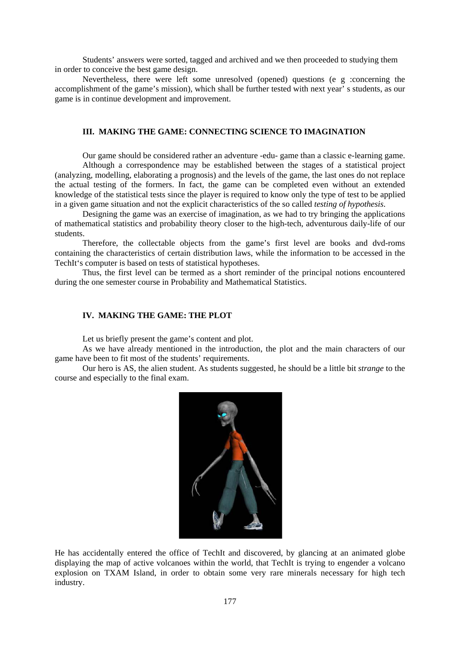Students' answers were sorted, tagged and archived and we then proceeded to studying them in order to conceive the best game design.

Nevertheless, there were left some unresolved (opened) questions (e g :concerning the accomplishment of the game's mission), which shall be further tested with next year' s students, as our game is in continue development and improvement.

## **III. MAKING THE GAME: CONNECTING SCIENCE TO IMAGINATION**

Our game should be considered rather an adventure -edu- game than a classic e-learning game.

Although a correspondence may be established between the stages of a statistical project (analyzing, modelling, elaborating a prognosis) and the levels of the game, the last ones do not replace the actual testing of the formers. In fact, the game can be completed even without an extended knowledge of the statistical tests since the player is required to know only the type of test to be applied in a given game situation and not the explicit characteristics of the so called *testing of hypothesis*.

Designing the game was an exercise of imagination, as we had to try bringing the applications of mathematical statistics and probability theory closer to the high-tech, adventurous daily-life of our students.

Therefore, the collectable objects from the game's first level are books and dvd-roms containing the characteristics of certain distribution laws, while the information to be accessed in the TechIt's computer is based on tests of statistical hypotheses.

Thus, the first level can be termed as a short reminder of the principal notions encountered during the one semester course in Probability and Mathematical Statistics.

#### IV. MAKING THE GAME: THE PLOT

Let us briefly present the game's content and plot.

As we have already mentioned in the introduction, the plot and the main characters of our game have been to fit most of the students' requirements.

Our hero is AS, the alien student. As students suggested, he should be a little bit *strange* to the course and especially to the final exam.



He has accidentally entered the office of TechIt and discovered, by glancing at an animated globe displaying the map of active volcanoes within the world, that TechIt is trying to engender a volcano explosion on TXAM Island, in order to obtain some very rare minerals necessary for high tech industry.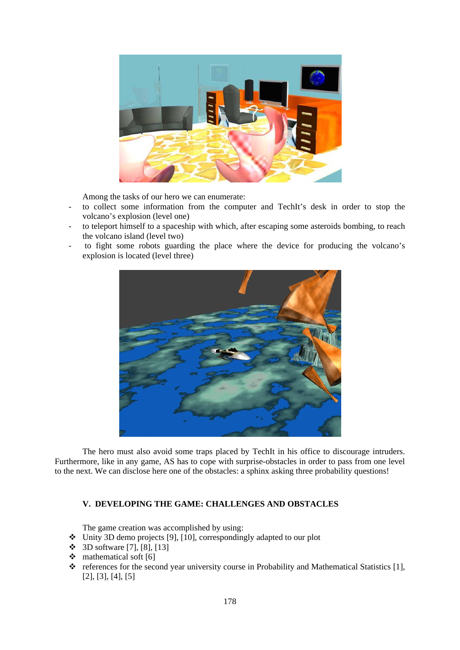

Among the tasks of our hero we can enumerate:

- to collect some information from the computer and TechIt's desk in order to stop the volcano's explosion (level one)
- to teleport himself to a spaceship with which, after escaping some asteroids bombing, to reach the volcano island (level two)
- to fight some robots guarding the place where the device for producing the volcano's explosion is located (level three)



The hero must also avoid some traps placed by TechIt in his office to discourage intruders. Furthermore, like in any game, AS has to cope with surprise-obstacles in order to pass from one level to the next. We can disclose here one of the obstacles: a sphinx asking three probability questions!

# **V. DEVELOPING THE GAME: CHALLENGES AND OBSTACLES**

The game creation was accomplished by using:

- $\bullet$  Unity 3D demo projects [9], [10], correspondingly adapted to our plot
- 3D software [7], [8], [13]
- $\div$  mathematical soft [6]
- \* references for the second year university course in Probability and Mathematical Statistics [1], [2], [3], [4], [5]